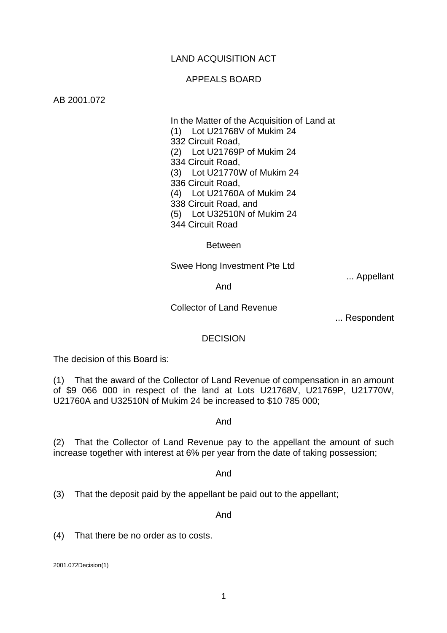# LAND ACQUISITION ACT

### APPEALS BOARD

### AB 2001.072

 In the Matter of the Acquisition of Land at (1) Lot U21768V of Mukim 24 332 Circuit Road, (2) Lot U21769P of Mukim 24 334 Circuit Road, (3) Lot U21770W of Mukim 24 336 Circuit Road, (4) Lot U21760A of Mukim 24 338 Circuit Road, and (5) Lot U32510N of Mukim 24 344 Circuit Road

Between

### Swee Hong Investment Pte Ltd

... Appellant

And

Collector of Land Revenue

... Respondent

### DECISION

The decision of this Board is:

(1) That the award of the Collector of Land Revenue of compensation in an amount of \$9 066 000 in respect of the land at Lots U21768V, U21769P, U21770W, U21760A and U32510N of Mukim 24 be increased to \$10 785 000;

#### And

(2) That the Collector of Land Revenue pay to the appellant the amount of such increase together with interest at 6% per year from the date of taking possession;

#### And

(3) That the deposit paid by the appellant be paid out to the appellant;

And

(4) That there be no order as to costs.

2001.072Decision(1)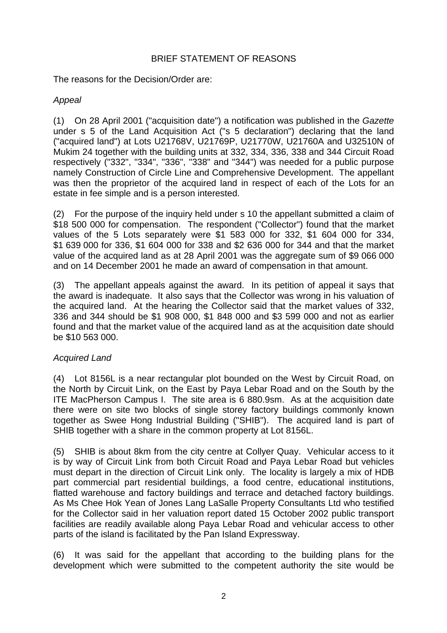# BRIEF STATEMENT OF REASONS

The reasons for the Decision/Order are:

# *Appeal*

(1) On 28 April 2001 ("acquisition date") a notification was published in the *Gazette* under s 5 of the Land Acquisition Act ("s 5 declaration") declaring that the land ("acquired land") at Lots U21768V, U21769P, U21770W, U21760A and U32510N of Mukim 24 together with the building units at 332, 334, 336, 338 and 344 Circuit Road respectively ("332", "334", "336", "338" and "344") was needed for a public purpose namely Construction of Circle Line and Comprehensive Development. The appellant was then the proprietor of the acquired land in respect of each of the Lots for an estate in fee simple and is a person interested.

(2) For the purpose of the inquiry held under s 10 the appellant submitted a claim of \$18 500 000 for compensation. The respondent ("Collector") found that the market values of the 5 Lots separately were \$1 583 000 for 332, \$1 604 000 for 334, \$1 639 000 for 336, \$1 604 000 for 338 and \$2 636 000 for 344 and that the market value of the acquired land as at 28 April 2001 was the aggregate sum of \$9 066 000 and on 14 December 2001 he made an award of compensation in that amount.

(3) The appellant appeals against the award. In its petition of appeal it says that the award is inadequate. It also says that the Collector was wrong in his valuation of the acquired land. At the hearing the Collector said that the market values of 332, 336 and 344 should be \$1 908 000, \$1 848 000 and \$3 599 000 and not as earlier found and that the market value of the acquired land as at the acquisition date should be \$10 563 000.

# *Acquired Land*

(4) Lot 8156L is a near rectangular plot bounded on the West by Circuit Road, on the North by Circuit Link, on the East by Paya Lebar Road and on the South by the ITE MacPherson Campus I. The site area is 6 880.9sm. As at the acquisition date there were on site two blocks of single storey factory buildings commonly known together as Swee Hong Industrial Building ("SHIB"). The acquired land is part of SHIB together with a share in the common property at Lot 8156L.

(5) SHIB is about 8km from the city centre at Collyer Quay. Vehicular access to it is by way of Circuit Link from both Circuit Road and Paya Lebar Road but vehicles must depart in the direction of Circuit Link only. The locality is largely a mix of HDB part commercial part residential buildings, a food centre, educational institutions, flatted warehouse and factory buildings and terrace and detached factory buildings. As Ms Chee Hok Yean of Jones Lang LaSalle Property Consultants Ltd who testified for the Collector said in her valuation report dated 15 October 2002 public transport facilities are readily available along Paya Lebar Road and vehicular access to other parts of the island is facilitated by the Pan Island Expressway.

(6) It was said for the appellant that according to the building plans for the development which were submitted to the competent authority the site would be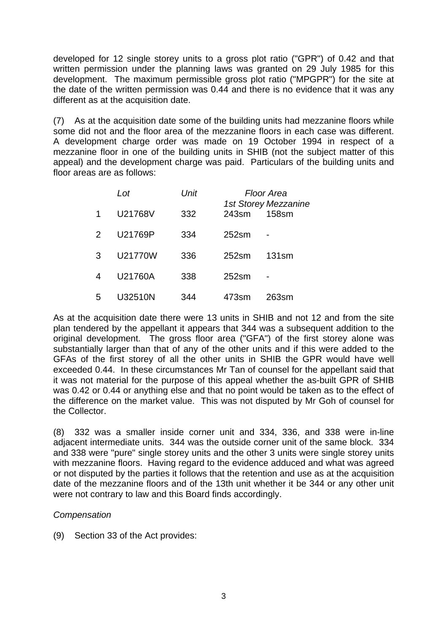developed for 12 single storey units to a gross plot ratio ("GPR") of 0.42 and that written permission under the planning laws was granted on 29 July 1985 for this development. The maximum permissible gross plot ratio ("MPGPR") for the site at the date of the written permission was 0.44 and there is no evidence that it was any different as at the acquisition date.

(7) As at the acquisition date some of the building units had mezzanine floors while some did not and the floor area of the mezzanine floors in each case was different. A development charge order was made on 19 October 1994 in respect of a mezzanine floor in one of the building units in SHIB (not the subject matter of this appeal) and the development charge was paid. Particulars of the building units and floor areas are as follows:

|   | Lot     | Unit |                   | Floor Area<br><b>1st Storey Mezzanine</b> |  |
|---|---------|------|-------------------|-------------------------------------------|--|
| 1 | U21768V | 332  | 243sm             | 158sm                                     |  |
| 2 | U21769P | 334  | 252 <sub>sm</sub> |                                           |  |
| 3 | U21770W | 336  | 252 <sub>sm</sub> | 131 <sub>sm</sub>                         |  |
| 4 | U21760A | 338  | 252 <sub>sm</sub> |                                           |  |
| 5 | U32510N | 344  | 473sm             | 263sm                                     |  |

As at the acquisition date there were 13 units in SHIB and not 12 and from the site plan tendered by the appellant it appears that 344 was a subsequent addition to the original development. The gross floor area ("GFA") of the first storey alone was substantially larger than that of any of the other units and if this were added to the GFAs of the first storey of all the other units in SHIB the GPR would have well exceeded 0.44. In these circumstances Mr Tan of counsel for the appellant said that it was not material for the purpose of this appeal whether the as-built GPR of SHIB was 0.42 or 0.44 or anything else and that no point would be taken as to the effect of the difference on the market value. This was not disputed by Mr Goh of counsel for the Collector.

(8) 332 was a smaller inside corner unit and 334, 336, and 338 were in-line adjacent intermediate units. 344 was the outside corner unit of the same block. 334 and 338 were "pure" single storey units and the other 3 units were single storey units with mezzanine floors. Having regard to the evidence adduced and what was agreed or not disputed by the parties it follows that the retention and use as at the acquisition date of the mezzanine floors and of the 13th unit whether it be 344 or any other unit were not contrary to law and this Board finds accordingly.

# *Compensation*

(9) Section 33 of the Act provides: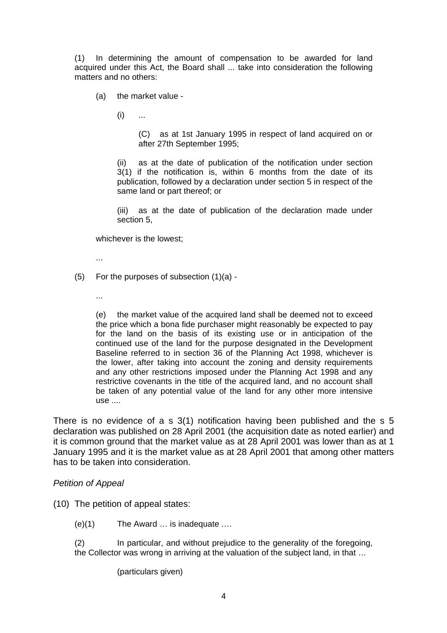(1) In determining the amount of compensation to be awarded for land acquired under this Act, the Board shall ... take into consideration the following matters and no others:

(a) the market value -

 $(i)$  ...

(C) as at 1st January 1995 in respect of land acquired on or after 27th September 1995;

(ii) as at the date of publication of the notification under section 3(1) if the notification is, within 6 months from the date of its publication, followed by a declaration under section 5 in respect of the same land or part thereof; or

(iii) as at the date of publication of the declaration made under section 5,

whichever is the lowest;

- ...
- (5) For the purposes of subsection (1)(a)
	- ...

(e) the market value of the acquired land shall be deemed not to exceed the price which a bona fide purchaser might reasonably be expected to pay for the land on the basis of its existing use or in anticipation of the continued use of the land for the purpose designated in the Development Baseline referred to in section 36 of the Planning Act 1998, whichever is the lower, after taking into account the zoning and density requirements and any other restrictions imposed under the Planning Act 1998 and any restrictive covenants in the title of the acquired land, and no account shall be taken of any potential value of the land for any other more intensive  $use...$ 

There is no evidence of a s 3(1) notification having been published and the s 5 declaration was published on 28 April 2001 (the acquisition date as noted earlier) and it is common ground that the market value as at 28 April 2001 was lower than as at 1 January 1995 and it is the market value as at 28 April 2001 that among other matters has to be taken into consideration.

### *Petition of Appeal*

(10) The petition of appeal states:

- (e)(1) The Award … is inadequate .…
- (2) In particular, and without prejudice to the generality of the foregoing, the Collector was wrong in arriving at the valuation of the subject land, in that …

(particulars given)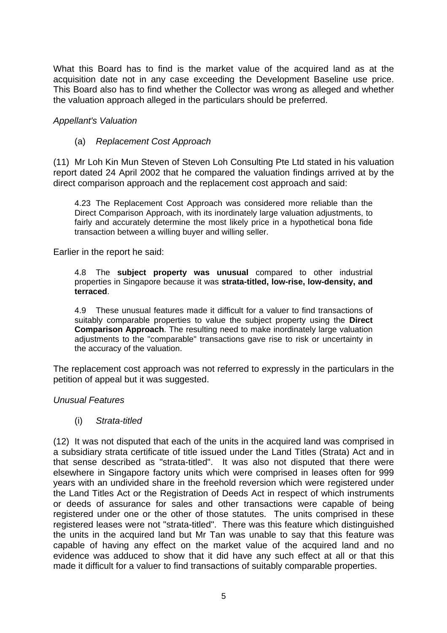What this Board has to find is the market value of the acquired land as at the acquisition date not in any case exceeding the Development Baseline use price. This Board also has to find whether the Collector was wrong as alleged and whether the valuation approach alleged in the particulars should be preferred.

*Appellant's Valuation* 

### (a) *Replacement Cost Approach*

(11) Mr Loh Kin Mun Steven of Steven Loh Consulting Pte Ltd stated in his valuation report dated 24 April 2002 that he compared the valuation findings arrived at by the direct comparison approach and the replacement cost approach and said:

4.23 The Replacement Cost Approach was considered more reliable than the Direct Comparison Approach, with its inordinately large valuation adjustments, to fairly and accurately determine the most likely price in a hypothetical bona fide transaction between a willing buyer and willing seller.

Earlier in the report he said:

4.8 The **subject property was unusual** compared to other industrial properties in Singapore because it was **strata-titled, low-rise, low-density, and terraced**.

4.9 These unusual features made it difficult for a valuer to find transactions of suitably comparable properties to value the subject property using the **Direct Comparison Approach**. The resulting need to make inordinately large valuation adjustments to the "comparable" transactions gave rise to risk or uncertainty in the accuracy of the valuation.

The replacement cost approach was not referred to expressly in the particulars in the petition of appeal but it was suggested.

### *Unusual Features*

### (i) *Strata-titled*

(12) It was not disputed that each of the units in the acquired land was comprised in a subsidiary strata certificate of title issued under the Land Titles (Strata) Act and in that sense described as "strata-titled". It was also not disputed that there were elsewhere in Singapore factory units which were comprised in leases often for 999 years with an undivided share in the freehold reversion which were registered under the Land Titles Act or the Registration of Deeds Act in respect of which instruments or deeds of assurance for sales and other transactions were capable of being registered under one or the other of those statutes. The units comprised in these registered leases were not "strata-titled". There was this feature which distinguished the units in the acquired land but Mr Tan was unable to say that this feature was capable of having any effect on the market value of the acquired land and no evidence was adduced to show that it did have any such effect at all or that this made it difficult for a valuer to find transactions of suitably comparable properties.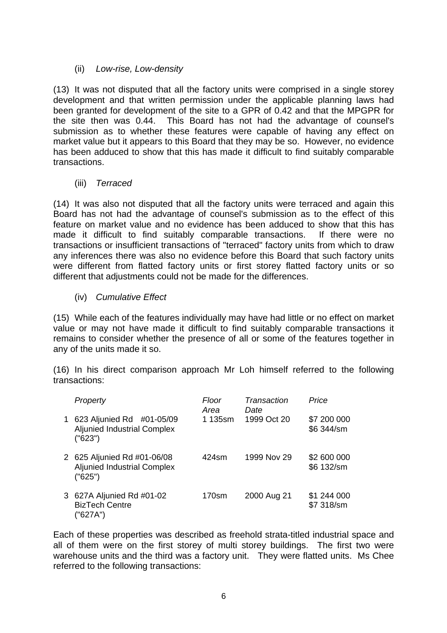# (ii) *Low-rise, Low-density*

(13) It was not disputed that all the factory units were comprised in a single storey development and that written permission under the applicable planning laws had been granted for development of the site to a GPR of 0.42 and that the MPGPR for the site then was 0.44. This Board has not had the advantage of counsel's submission as to whether these features were capable of having any effect on market value but it appears to this Board that they may be so. However, no evidence has been adduced to show that this has made it difficult to find suitably comparable transactions.

# (iii) *Terraced*

(14) It was also not disputed that all the factory units were terraced and again this Board has not had the advantage of counsel's submission as to the effect of this feature on market value and no evidence has been adduced to show that this has made it difficult to find suitably comparable transactions. If there were no transactions or insufficient transactions of "terraced" factory units from which to draw any inferences there was also no evidence before this Board that such factory units were different from flatted factory units or first storey flatted factory units or so different that adjustments could not be made for the differences.

# (iv) *Cumulative Effect*

(15) While each of the features individually may have had little or no effect on market value or may not have made it difficult to find suitably comparable transactions it remains to consider whether the presence of all or some of the features together in any of the units made it so.

(16) In his direct comparison approach Mr Loh himself referred to the following transactions:

| Property                                                                     | Floor<br>Area | Transaction<br>Date | Price                     |
|------------------------------------------------------------------------------|---------------|---------------------|---------------------------|
| 1 623 Aljunied Rd #01-05/09<br><b>Aljunied Industrial Complex</b><br>("623") | 1 135sm       | 1999 Oct 20         | \$7 200 000<br>\$6 344/sm |
| 2 625 Aljunied Rd #01-06/08<br><b>Aljunied Industrial Complex</b><br>("625") | 424sm         | 1999 Nov 29         | \$2 600 000<br>\$6 132/sm |
| 3 627A Aljunied Rd #01-02<br><b>BizTech Centre</b><br>("627A")               | 170sm         | 2000 Aug 21         | \$1 244 000<br>\$7 318/sm |

Each of these properties was described as freehold strata-titled industrial space and all of them were on the first storey of multi storey buildings. The first two were warehouse units and the third was a factory unit. They were flatted units. Ms Chee referred to the following transactions: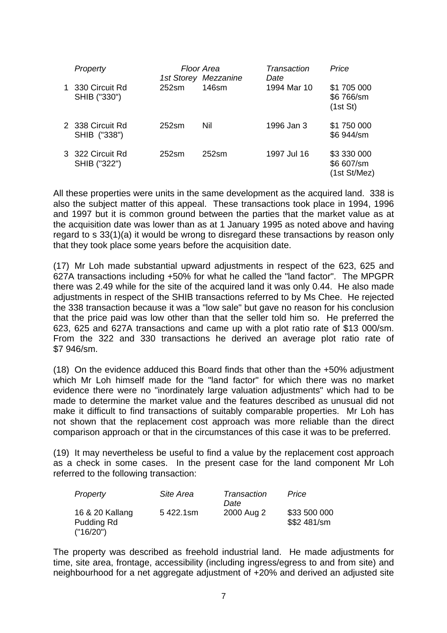| Property                         |                   | Floor Area<br>1st Storey Mezzanine | Transaction<br>Date | Price                                     |
|----------------------------------|-------------------|------------------------------------|---------------------|-------------------------------------------|
| 1 330 Circuit Rd<br>SHIB ("330") | 252sm             | 146sm                              | 1994 Mar 10         | \$1 705 000<br>\$6 766/sm<br>(1st St)     |
| 2 338 Circuit Rd<br>SHIB ("338") | $252$ sm          | Nil                                | 1996 Jan 3          | \$1 750 000<br>\$6 944/sm                 |
| 3 322 Circuit Rd<br>SHIB ("322") | 252 <sub>sm</sub> | 252 <sub>sm</sub>                  | 1997 Jul 16         | \$3 330 000<br>\$6 607/sm<br>(1st St/Mez) |

All these properties were units in the same development as the acquired land. 338 is also the subject matter of this appeal. These transactions took place in 1994, 1996 and 1997 but it is common ground between the parties that the market value as at the acquisition date was lower than as at 1 January 1995 as noted above and having regard to s 33(1)(a) it would be wrong to disregard these transactions by reason only that they took place some years before the acquisition date.

(17) Mr Loh made substantial upward adjustments in respect of the 623, 625 and 627A transactions including +50% for what he called the "land factor". The MPGPR there was 2.49 while for the site of the acquired land it was only 0.44. He also made adjustments in respect of the SHIB transactions referred to by Ms Chee. He rejected the 338 transaction because it was a "low sale" but gave no reason for his conclusion that the price paid was low other than that the seller told him so. He preferred the 623, 625 and 627A transactions and came up with a plot ratio rate of \$13 000/sm. From the 322 and 330 transactions he derived an average plot ratio rate of \$7 946/sm.

(18) On the evidence adduced this Board finds that other than the +50% adjustment which Mr Loh himself made for the "land factor" for which there was no market evidence there were no "inordinately large valuation adjustments" which had to be made to determine the market value and the features described as unusual did not make it difficult to find transactions of suitably comparable properties. Mr Loh has not shown that the replacement cost approach was more reliable than the direct comparison approach or that in the circumstances of this case it was to be preferred.

(19) It may nevertheless be useful to find a value by the replacement cost approach as a check in some cases. In the present case for the land component Mr Loh referred to the following transaction:

| Property                      | Site Area | Transaction | Price                        |
|-------------------------------|-----------|-------------|------------------------------|
|                               |           | Date        |                              |
| 16 & 20 Kallang<br>Pudding Rd | 5422.1sm  | 2000 Aug 2  | \$33 500 000<br>\$\$2 481/sm |
| ('16/20")                     |           |             |                              |

The property was described as freehold industrial land. He made adjustments for time, site area, frontage, accessibility (including ingress/egress to and from site) and neighbourhood for a net aggregate adjustment of +20% and derived an adjusted site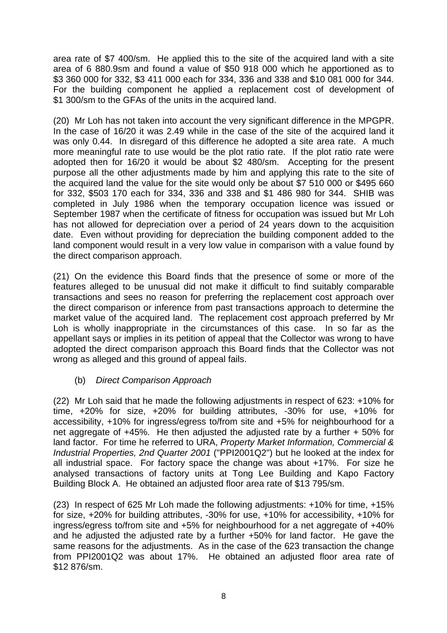area rate of \$7 400/sm. He applied this to the site of the acquired land with a site area of 6 880.9sm and found a value of \$50 918 000 which he apportioned as to \$3 360 000 for 332, \$3 411 000 each for 334, 336 and 338 and \$10 081 000 for 344. For the building component he applied a replacement cost of development of \$1 300/sm to the GFAs of the units in the acquired land.

(20) Mr Loh has not taken into account the very significant difference in the MPGPR. In the case of 16/20 it was 2.49 while in the case of the site of the acquired land it was only 0.44. In disregard of this difference he adopted a site area rate. A much more meaningful rate to use would be the plot ratio rate. If the plot ratio rate were adopted then for 16/20 it would be about \$2 480/sm. Accepting for the present purpose all the other adjustments made by him and applying this rate to the site of the acquired land the value for the site would only be about \$7 510 000 or \$495 660 for 332, \$503 170 each for 334, 336 and 338 and \$1 486 980 for 344. SHIB was completed in July 1986 when the temporary occupation licence was issued or September 1987 when the certificate of fitness for occupation was issued but Mr Loh has not allowed for depreciation over a period of 24 years down to the acquisition date. Even without providing for depreciation the building component added to the land component would result in a very low value in comparison with a value found by the direct comparison approach.

(21) On the evidence this Board finds that the presence of some or more of the features alleged to be unusual did not make it difficult to find suitably comparable transactions and sees no reason for preferring the replacement cost approach over the direct comparison or inference from past transactions approach to determine the market value of the acquired land. The replacement cost approach preferred by Mr Loh is wholly inappropriate in the circumstances of this case. In so far as the appellant says or implies in its petition of appeal that the Collector was wrong to have adopted the direct comparison approach this Board finds that the Collector was not wrong as alleged and this ground of appeal fails.

## (b) *Direct Comparison Approach*

(22) Mr Loh said that he made the following adjustments in respect of 623: +10% for time, +20% for size, +20% for building attributes, -30% for use, +10% for accessibility, +10% for ingress/egress to/from site and +5% for neighbourhood for a net aggregate of  $+45\%$ . He then adjusted the adjusted rate by a further  $+50\%$  for land factor. For time he referred to URA, *Property Market Information, Commercial & Industrial Properties, 2nd Quarter 2001* ("PPI2001Q2") but he looked at the index for all industrial space. For factory space the change was about +17%. For size he analysed transactions of factory units at Tong Lee Building and Kapo Factory Building Block A. He obtained an adjusted floor area rate of \$13 795/sm.

(23) In respect of 625 Mr Loh made the following adjustments: +10% for time, +15% for size, +20% for building attributes, -30% for use, +10% for accessibility, +10% for ingress/egress to/from site and +5% for neighbourhood for a net aggregate of +40% and he adjusted the adjusted rate by a further +50% for land factor. He gave the same reasons for the adjustments. As in the case of the 623 transaction the change from PPI2001Q2 was about 17%. He obtained an adjusted floor area rate of \$12 876/sm.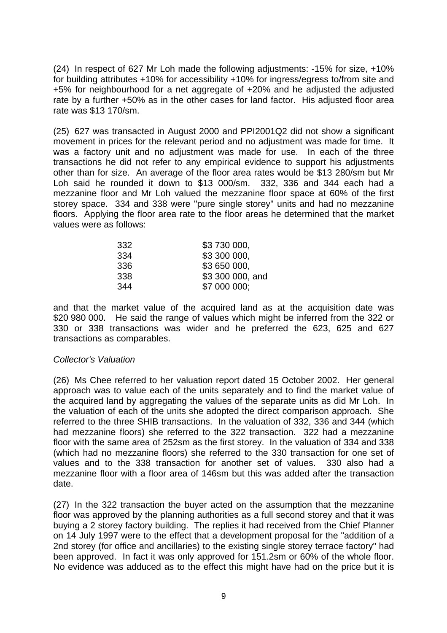(24) In respect of 627 Mr Loh made the following adjustments: -15% for size, +10% for building attributes +10% for accessibility +10% for ingress/egress to/from site and +5% for neighbourhood for a net aggregate of +20% and he adjusted the adjusted rate by a further +50% as in the other cases for land factor. His adjusted floor area rate was \$13 170/sm.

(25) 627 was transacted in August 2000 and PPI2001Q2 did not show a significant movement in prices for the relevant period and no adjustment was made for time. It was a factory unit and no adjustment was made for use. In each of the three transactions he did not refer to any empirical evidence to support his adjustments other than for size. An average of the floor area rates would be \$13 280/sm but Mr Loh said he rounded it down to \$13 000/sm. 332, 336 and 344 each had a mezzanine floor and Mr Loh valued the mezzanine floor space at 60% of the first storey space. 334 and 338 were "pure single storey" units and had no mezzanine floors. Applying the floor area rate to the floor areas he determined that the market values were as follows:

| 332 | \$3 730 000,     |
|-----|------------------|
| 334 | \$3 300 000,     |
| 336 | \$3 650 000.     |
| 338 | \$3 300 000, and |
| 344 | \$7 000 000;     |

and that the market value of the acquired land as at the acquisition date was \$20 980 000. He said the range of values which might be inferred from the 322 or 330 or 338 transactions was wider and he preferred the 623, 625 and 627 transactions as comparables.

## *Collector's Valuation*

(26) Ms Chee referred to her valuation report dated 15 October 2002. Her general approach was to value each of the units separately and to find the market value of the acquired land by aggregating the values of the separate units as did Mr Loh. In the valuation of each of the units she adopted the direct comparison approach. She referred to the three SHIB transactions. In the valuation of 332, 336 and 344 (which had mezzanine floors) she referred to the 322 transaction. 322 had a mezzanine floor with the same area of 252sm as the first storey. In the valuation of 334 and 338 (which had no mezzanine floors) she referred to the 330 transaction for one set of values and to the 338 transaction for another set of values. 330 also had a mezzanine floor with a floor area of 146sm but this was added after the transaction date.

(27) In the 322 transaction the buyer acted on the assumption that the mezzanine floor was approved by the planning authorities as a full second storey and that it was buying a 2 storey factory building. The replies it had received from the Chief Planner on 14 July 1997 were to the effect that a development proposal for the "addition of a 2nd storey (for office and ancillaries) to the existing single storey terrace factory" had been approved. In fact it was only approved for 151.2sm or 60% of the whole floor. No evidence was adduced as to the effect this might have had on the price but it is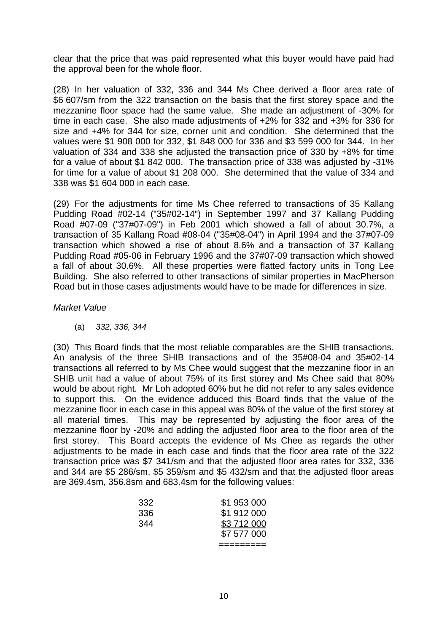clear that the price that was paid represented what this buyer would have paid had the approval been for the whole floor.

(28) In her valuation of 332, 336 and 344 Ms Chee derived a floor area rate of \$6 607/sm from the 322 transaction on the basis that the first storey space and the mezzanine floor space had the same value. She made an adjustment of -30% for time in each case. She also made adjustments of +2% for 332 and +3% for 336 for size and +4% for 344 for size, corner unit and condition. She determined that the values were \$1 908 000 for 332, \$1 848 000 for 336 and \$3 599 000 for 344. In her valuation of 334 and 338 she adjusted the transaction price of 330 by +8% for time for a value of about \$1 842 000. The transaction price of 338 was adjusted by -31% for time for a value of about \$1 208 000. She determined that the value of 334 and 338 was \$1 604 000 in each case.

(29) For the adjustments for time Ms Chee referred to transactions of 35 Kallang Pudding Road #02-14 ("35#02-14") in September 1997 and 37 Kallang Pudding Road #07-09 ("37#07-09") in Feb 2001 which showed a fall of about 30.7%, a transaction of 35 Kallang Road #08-04 ("35#08-04") in April 1994 and the 37#07-09 transaction which showed a rise of about 8.6% and a transaction of 37 Kallang Pudding Road #05-06 in February 1996 and the 37#07-09 transaction which showed a fall of about 30.6%. All these properties were flatted factory units in Tong Lee Building. She also referred to other transactions of similar properties in MacPherson Road but in those cases adjustments would have to be made for differences in size.

## *Market Value*

(a) *332, 336, 344* 

(30) This Board finds that the most reliable comparables are the SHIB transactions. An analysis of the three SHIB transactions and of the 35#08-04 and 35#02-14 transactions all referred to by Ms Chee would suggest that the mezzanine floor in an SHIB unit had a value of about 75% of its first storey and Ms Chee said that 80% would be about right. Mr Loh adopted 60% but he did not refer to any sales evidence to support this. On the evidence adduced this Board finds that the value of the mezzanine floor in each case in this appeal was 80% of the value of the first storey at all material times. This may be represented by adjusting the floor area of the mezzanine floor by -20% and adding the adjusted floor area to the floor area of the first storey. This Board accepts the evidence of Ms Chee as regards the other adjustments to be made in each case and finds that the floor area rate of the 322 transaction price was \$7 341/sm and that the adjusted floor area rates for 332, 336 and 344 are \$5 286/sm, \$5 359/sm and \$5 432/sm and that the adjusted floor areas are 369.4sm, 356.8sm and 683.4sm for the following values:

|     | \$7 577 000 |
|-----|-------------|
| 344 | \$3 712 000 |
| 336 | \$1 912 000 |
| 332 | \$1 953 000 |